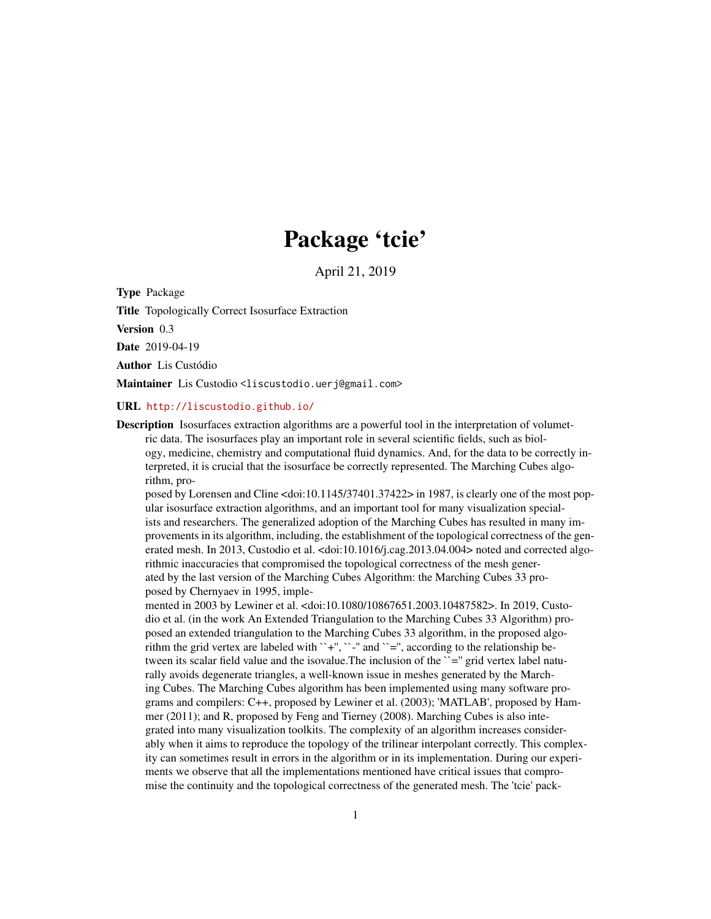## Package 'tcie'

April 21, 2019

Type Package

Title Topologically Correct Isosurface Extraction

Version 0.3

Date 2019-04-19

Author Lis Custódio

Maintainer Lis Custodio <liscustodio.uerj@gmail.com>

#### URL <http://liscustodio.github.io/>

Description Isosurfaces extraction algorithms are a powerful tool in the interpretation of volumetric data. The isosurfaces play an important role in several scientific fields, such as biology, medicine, chemistry and computational fluid dynamics. And, for the data to be correctly interpreted, it is crucial that the isosurface be correctly represented. The Marching Cubes algorithm, pro-

posed by Lorensen and Cline <doi:10.1145/37401.37422> in 1987, is clearly one of the most popular isosurface extraction algorithms, and an important tool for many visualization specialists and researchers. The generalized adoption of the Marching Cubes has resulted in many improvements in its algorithm, including, the establishment of the topological correctness of the generated mesh. In 2013, Custodio et al. <doi:10.1016/j.cag.2013.04.004> noted and corrected algorithmic inaccuracies that compromised the topological correctness of the mesh generated by the last version of the Marching Cubes Algorithm: the Marching Cubes 33 proposed by Chernyaev in 1995, imple-

mented in 2003 by Lewiner et al. <doi:10.1080/10867651.2003.10487582>. In 2019, Custodio et al. (in the work An Extended Triangulation to the Marching Cubes 33 Algorithm) proposed an extended triangulation to the Marching Cubes 33 algorithm, in the proposed algorithm the grid vertex are labeled with ``+", ``-" and ``=", according to the relationship between its scalar field value and the isovalue. The inclusion of the  $\gamma$ =" grid vertex label naturally avoids degenerate triangles, a well-known issue in meshes generated by the Marching Cubes. The Marching Cubes algorithm has been implemented using many software programs and compilers: C++, proposed by Lewiner et al. (2003); 'MATLAB', proposed by Hammer (2011); and R, proposed by Feng and Tierney (2008). Marching Cubes is also integrated into many visualization toolkits. The complexity of an algorithm increases considerably when it aims to reproduce the topology of the trilinear interpolant correctly. This complexity can sometimes result in errors in the algorithm or in its implementation. During our experiments we observe that all the implementations mentioned have critical issues that compromise the continuity and the topological correctness of the generated mesh. The 'tcie' pack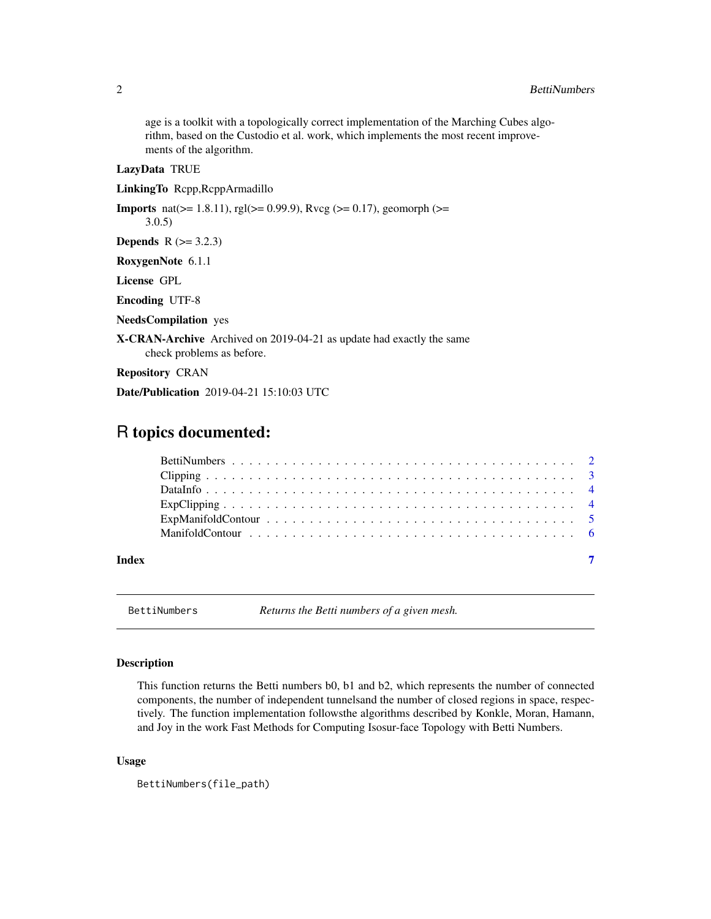<span id="page-1-0"></span>age is a toolkit with a topologically correct implementation of the Marching Cubes algorithm, based on the Custodio et al. work, which implements the most recent improvements of the algorithm.

#### LazyData TRUE

LinkingTo Rcpp,RcppArmadillo

**Imports** nat( $>= 1.8.11$ ), rgl( $>= 0.99.9$ ), Rvcg ( $>= 0.17$ ), geomorph ( $>=$ 3.0.5) **Depends** R  $(>= 3.2.3)$ RoxygenNote 6.1.1 License GPL

Encoding UTF-8

NeedsCompilation yes

X-CRAN-Archive Archived on 2019-04-21 as update had exactly the same check problems as before.

Repository CRAN

Date/Publication 2019-04-21 15:10:03 UTC

### R topics documented:

| Index | $\overline{7}$ |
|-------|----------------|

BettiNumbers *Returns the Betti numbers of a given mesh.*

#### Description

This function returns the Betti numbers b0, b1 and b2, which represents the number of connected components, the number of independent tunnelsand the number of closed regions in space, respectively. The function implementation followsthe algorithms described by Konkle, Moran, Hamann, and Joy in the work Fast Methods for Computing Isosur-face Topology with Betti Numbers.

#### Usage

```
BettiNumbers(file_path)
```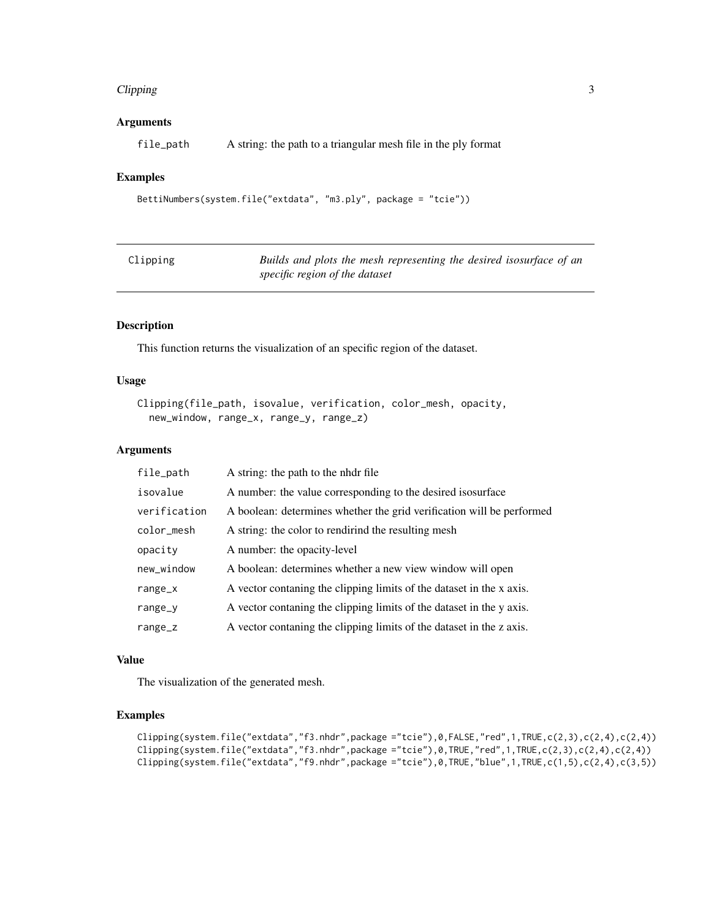#### <span id="page-2-0"></span>Clipping 3

#### Arguments

file\_path A string: the path to a triangular mesh file in the ply format

#### Examples

```
BettiNumbers(system.file("extdata", "m3.ply", package = "tcie"))
```

| Clipping | Builds and plots the mesh representing the desired isosurface of an |
|----------|---------------------------------------------------------------------|
|          | specific region of the dataset                                      |

#### Description

This function returns the visualization of an specific region of the dataset.

#### Usage

```
Clipping(file_path, isovalue, verification, color_mesh, opacity,
 new_window, range_x, range_y, range_z)
```
#### Arguments

| file_path    | A string: the path to the nhdr file                                   |
|--------------|-----------------------------------------------------------------------|
| isovalue     | A number: the value corresponding to the desired isosurface           |
| verification | A boolean: determines whether the grid verification will be performed |
| color_mesh   | A string: the color to rendirind the resulting mesh                   |
| opacity      | A number: the opacity-level                                           |
| new_window   | A boolean: determines whether a new view window will open             |
| $range_x$    | A vector contaning the clipping limits of the dataset in the x axis.  |
| range_y      | A vector contaning the clipping limits of the dataset in the y axis.  |
| range_z      | A vector contaning the clipping limits of the dataset in the z axis.  |

#### Value

The visualization of the generated mesh.

#### Examples

```
Clipping(system.file("extdata","f3.nhdr",package ="tcie"),0,FALSE,"red",1,TRUE,c(2,3),c(2,4),c(2,4))
Clipping(system.file("extdata", "f3.nhdr", package = "tcie"), 0, TRUE, "red", 1, TRUE, c(2,3), c(2,4), c(2,4))Clipping(system.file("extdata","f9.nhdr",package ="tcie"),0,TRUE,"blue",1,TRUE,c(1,5),c(2,4),c(3,5))
```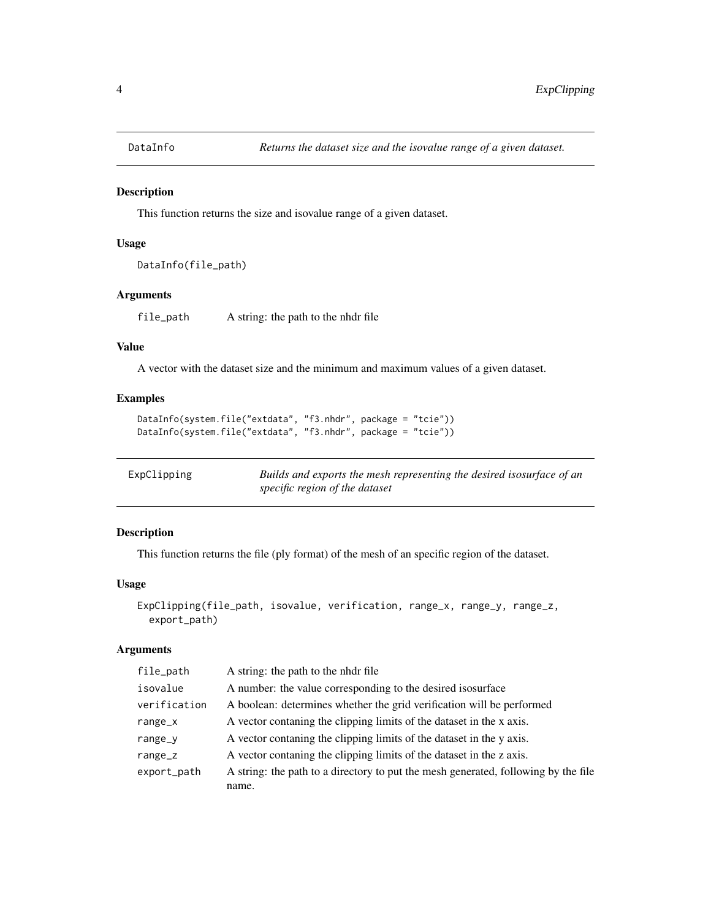<span id="page-3-0"></span>

#### Description

This function returns the size and isovalue range of a given dataset.

#### Usage

```
DataInfo(file_path)
```
#### Arguments

file\_path A string: the path to the nhdr file

#### Value

A vector with the dataset size and the minimum and maximum values of a given dataset.

#### Examples

```
DataInfo(system.file("extdata", "f3.nhdr", package = "tcie"))
DataInfo(system.file("extdata", "f3.nhdr", package = "tcie"))
```

| ExpClipping | Builds and exports the mesh representing the desired isosurface of an |
|-------------|-----------------------------------------------------------------------|
|             | specific region of the dataset                                        |

#### Description

This function returns the file (ply format) of the mesh of an specific region of the dataset.

#### Usage

```
ExpClipping(file_path, isovalue, verification, range_x, range_y, range_z,
 export_path)
```
#### Arguments

| file_path    | A string: the path to the nhdr file                                                |
|--------------|------------------------------------------------------------------------------------|
| isovalue     | A number: the value corresponding to the desired isosurface                        |
| verification | A boolean: determines whether the grid verification will be performed              |
| range_ $x$   | A vector contaning the clipping limits of the dataset in the x axis.               |
| range_y      | A vector contaning the clipping limits of the dataset in the y axis.               |
| range_z      | A vector contaning the clipping limits of the dataset in the z axis.               |
| export_path  | A string: the path to a directory to put the mesh generated, following by the file |
|              | name.                                                                              |
|              |                                                                                    |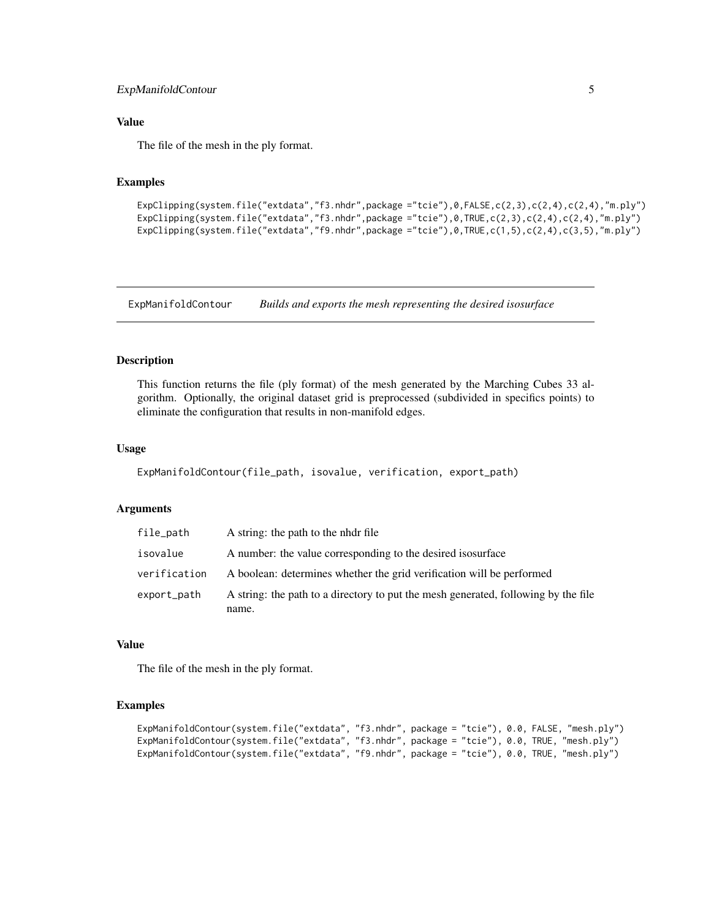#### <span id="page-4-0"></span>ExpManifoldContour 5

#### Value

The file of the mesh in the ply format.

#### Examples

```
ExpClipping(system.file("extdata","f3.nhdr",package ="tcie"),0,FALSE,c(2,3),c(2,4),c(2,4),"m.ply")
ExpClipping(system.file("extdata","f3.nhdr",package ="tcie"),0,TRUE,c(2,3),c(2,4),c(2,4),"m.ply")
ExpClipping(system.file("extdata","f9.nhdr",package ="tcie"),0,TRUE,c(1,5),c(2,4),c(3,5),"m.ply")
```
ExpManifoldContour *Builds and exports the mesh representing the desired isosurface*

#### Description

This function returns the file (ply format) of the mesh generated by the Marching Cubes 33 algorithm. Optionally, the original dataset grid is preprocessed (subdivided in specifics points) to eliminate the configuration that results in non-manifold edges.

#### Usage

```
ExpManifoldContour(file_path, isovalue, verification, export_path)
```
#### Arguments

| file_path    | A string: the path to the nhdr file                                                         |
|--------------|---------------------------------------------------------------------------------------------|
| isovalue     | A number: the value corresponding to the desired isosurface                                 |
| verification | A boolean: determines whether the grid verification will be performed                       |
| export_path  | A string: the path to a directory to put the mesh generated, following by the file<br>name. |

#### Value

The file of the mesh in the ply format.

#### Examples

```
ExpManifoldContour(system.file("extdata", "f3.nhdr", package = "tcie"), 0.0, FALSE, "mesh.ply")
ExpManifoldContour(system.file("extdata", "f3.nhdr", package = "tcie"), 0.0, TRUE, "mesh.ply")
ExpManifoldContour(system.file("extdata", "f9.nhdr", package = "tcie"), 0.0, TRUE, "mesh.ply")
```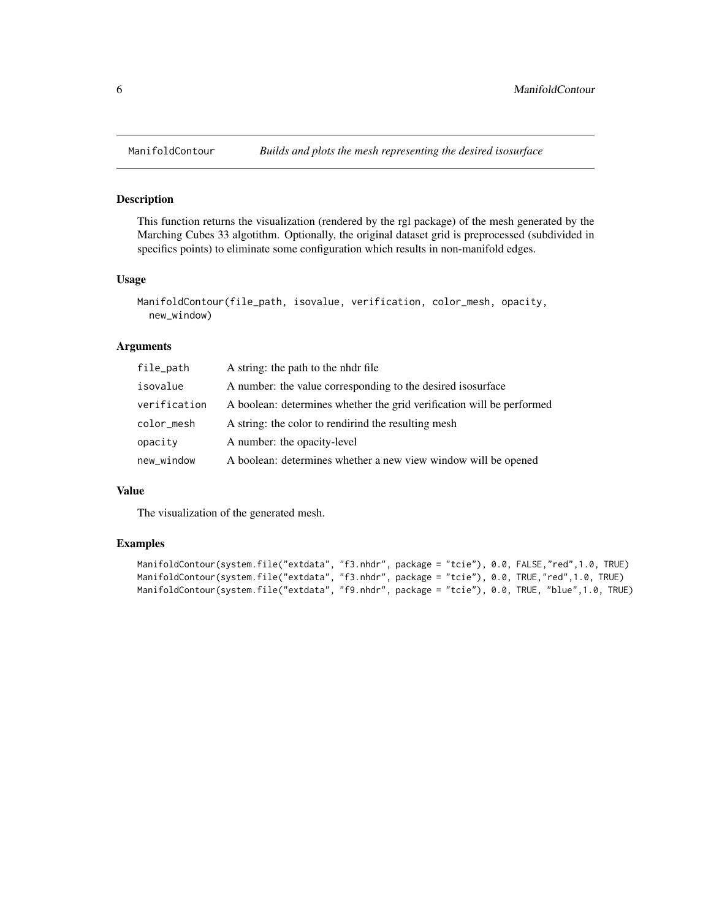#### Description

This function returns the visualization (rendered by the rgl package) of the mesh generated by the Marching Cubes 33 algotithm. Optionally, the original dataset grid is preprocessed (subdivided in specifics points) to eliminate some configuration which results in non-manifold edges.

#### Usage

```
ManifoldContour(file_path, isovalue, verification, color_mesh, opacity,
  new_window)
```
#### Arguments

| file_path    | A string: the path to the nhdr file                                   |
|--------------|-----------------------------------------------------------------------|
| isovalue     | A number: the value corresponding to the desired isosurface           |
| verification | A boolean: determines whether the grid verification will be performed |
| color_mesh   | A string: the color to rendirind the resulting mesh                   |
| opacity      | A number: the opacity-level                                           |
| new_window   | A boolean: determines whether a new view window will be opened        |

#### Value

The visualization of the generated mesh.

#### Examples

```
ManifoldContour(system.file("extdata", "f3.nhdr", package = "tcie"), 0.0, FALSE,"red",1.0, TRUE)
ManifoldContour(system.file("extdata", "f3.nhdr", package = "tcie"), 0.0, TRUE,"red",1.0, TRUE)
ManifoldContour(system.file("extdata", "f9.nhdr", package = "tcie"), 0.0, TRUE, "blue",1.0, TRUE)
```